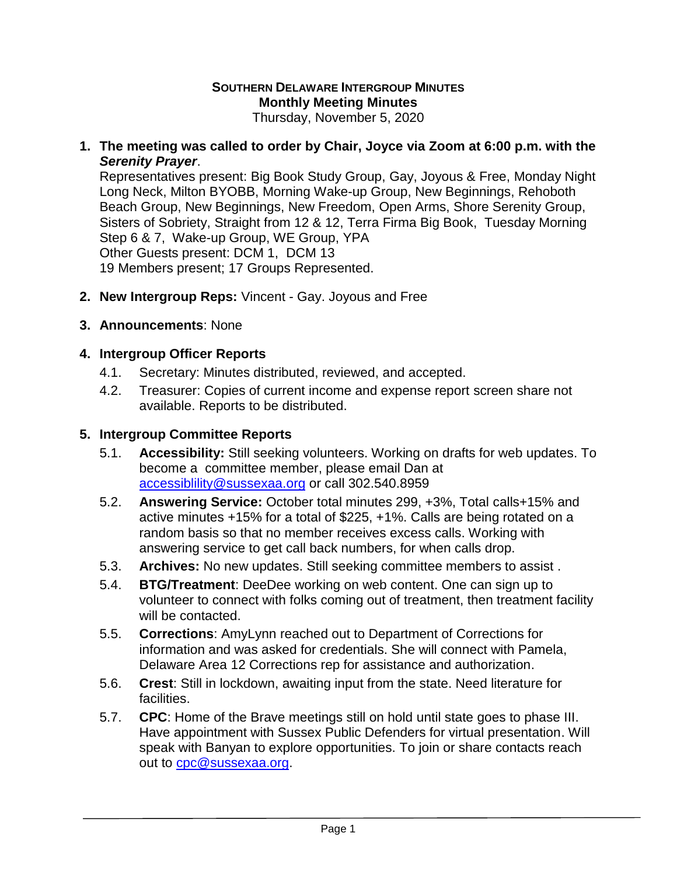#### **SOUTHERN DELAWARE INTERGROUP MINUTES Monthly Meeting Minutes** Thursday, November 5, 2020

**1. The meeting was called to order by Chair, Joyce via Zoom at 6:00 p.m. with the**  *Serenity Prayer*.

Representatives present: Big Book Study Group, Gay, Joyous & Free, Monday Night Long Neck, Milton BYOBB, Morning Wake-up Group, New Beginnings, Rehoboth Beach Group, New Beginnings, New Freedom, Open Arms, Shore Serenity Group, Sisters of Sobriety, Straight from 12 & 12, Terra Firma Big Book, Tuesday Morning Step 6 & 7, Wake-up Group, WE Group, YPA Other Guests present: DCM 1, DCM 13 19 Members present; 17 Groups Represented.

- **2. New Intergroup Reps:** Vincent Gay. Joyous and Free
- **3. Announcements**: None

## **4. Intergroup Officer Reports**

- 4.1. Secretary: Minutes distributed, reviewed, and accepted.
- 4.2. Treasurer: Copies of current income and expense report screen share not available. Reports to be distributed.

## **5. Intergroup Committee Reports**

- 5.1. **Accessibility:** Still seeking volunteers. Working on drafts for web updates. To become a committee member, please email Dan at [accessiblility@sussexaa.org](mailto:accessiblility@sussexaa.org) or call 302.540.8959
- 5.2. **Answering Service:** October total minutes 299, +3%, Total calls+15% and active minutes +15% for a total of \$225, +1%. Calls are being rotated on a random basis so that no member receives excess calls. Working with answering service to get call back numbers, for when calls drop.
- 5.3. **Archives:** No new updates. Still seeking committee members to assist .
- 5.4. **BTG/Treatment**: DeeDee working on web content. One can sign up to volunteer to connect with folks coming out of treatment, then treatment facility will be contacted.
- 5.5. **Corrections**: AmyLynn reached out to Department of Corrections for information and was asked for credentials. She will connect with Pamela, Delaware Area 12 Corrections rep for assistance and authorization.
- 5.6. **Crest**: Still in lockdown, awaiting input from the state. Need literature for facilities.
- 5.7. **CPC**: Home of the Brave meetings still on hold until state goes to phase III. Have appointment with Sussex Public Defenders for virtual presentation. Will speak with Banyan to explore opportunities. To join or share contacts reach out to [cpc@sussexaa.org.](mailto:cpc@sussexaa.org)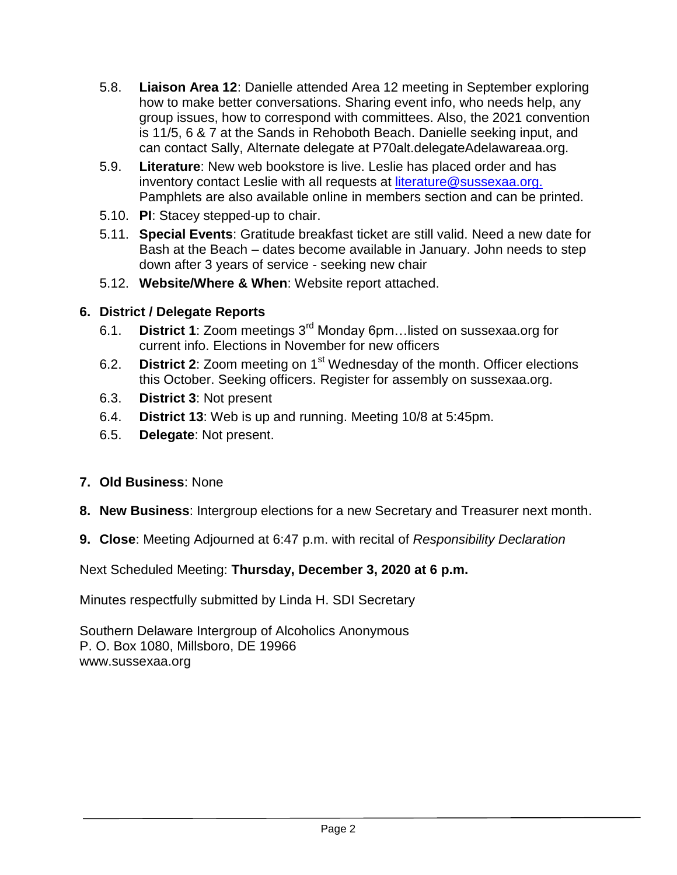- 5.8. **Liaison Area 12**: Danielle attended Area 12 meeting in September exploring how to make better conversations. Sharing event info, who needs help, any group issues, how to correspond with committees. Also, the 2021 convention is 11/5, 6 & 7 at the Sands in Rehoboth Beach. Danielle seeking input, and can contact Sally, Alternate delegate at P70alt.delegateAdelawareaa.org.
- 5.9. **Literature**: New web bookstore is live. Leslie has placed order and has inventory contact Leslie with all requests at [literature@sussexaa.org.](mailto:literature@sussexaa.org.) Pamphlets are also available online in members section and can be printed.
- 5.10. **PI**: Stacey stepped-up to chair.
- 5.11. **Special Events**: Gratitude breakfast ticket are still valid. Need a new date for Bash at the Beach – dates become available in January. John needs to step down after 3 years of service - seeking new chair
- 5.12. **Website/Where & When**: Website report attached.

# **6. District / Delegate Reports**

- 6.1. **District 1**: Zoom meetings 3rd Monday 6pm…listed on sussexaa.org for current info. Elections in November for new officers
- 6.2. **District 2**: Zoom meeting on 1st Wednesday of the month. Officer elections this October. Seeking officers. Register for assembly on sussexaa.org.
- 6.3. **District 3**: Not present
- 6.4. **District 13**: Web is up and running. Meeting 10/8 at 5:45pm.
- 6.5. **Delegate**: Not present.
- **7. Old Business**: None
- **8. New Business**: Intergroup elections for a new Secretary and Treasurer next month.
- **9. Close**: Meeting Adjourned at 6:47 p.m. with recital of *Responsibility Declaration*

Next Scheduled Meeting: **Thursday, December 3, 2020 at 6 p.m.**

Minutes respectfully submitted by Linda H. SDI Secretary

Southern Delaware Intergroup of Alcoholics Anonymous P. O. Box 1080, Millsboro, DE 19966 www.sussexaa.org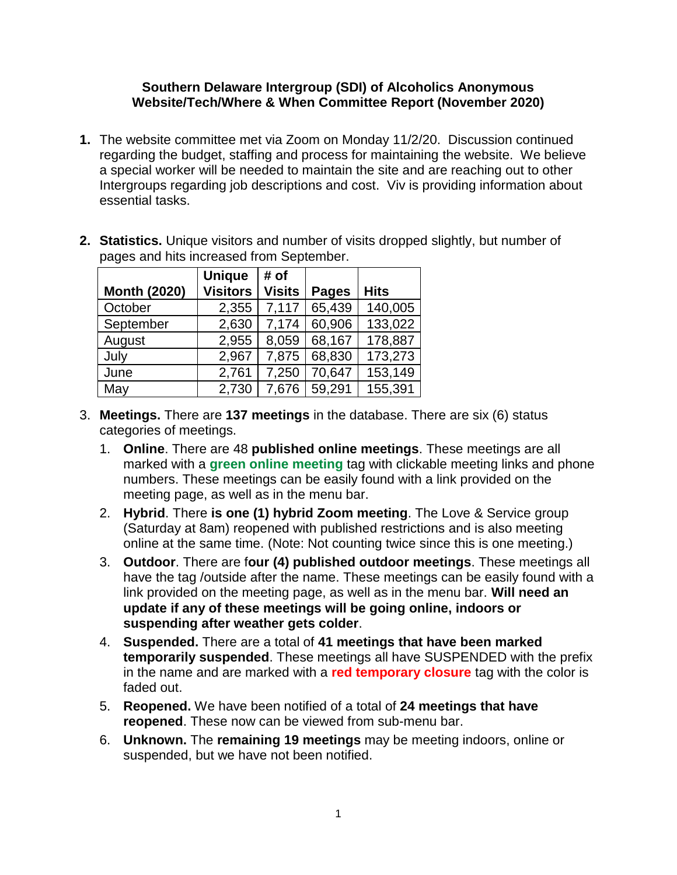#### **Southern Delaware Intergroup (SDI) of Alcoholics Anonymous Website/Tech/Where & When Committee Report (November 2020)**

- **1.** The website committee met via Zoom on Monday 11/2/20. Discussion continued regarding the budget, staffing and process for maintaining the website. We believe a special worker will be needed to maintain the site and are reaching out to other Intergroups regarding job descriptions and cost. Viv is providing information about essential tasks.
- **2. Statistics.** Unique visitors and number of visits dropped slightly, but number of pages and hits increased from September.

|                     | <b>Unique</b>   | # of          |              |             |
|---------------------|-----------------|---------------|--------------|-------------|
| <b>Month (2020)</b> | <b>Visitors</b> | <b>Visits</b> | <b>Pages</b> | <b>Hits</b> |
| October             | 2,355           | 7,117         | 65,439       | 140,005     |
| September           | 2,630           | 7,174         | 60,906       | 133,022     |
| August              | 2,955           | 8,059         | 68,167       | 178,887     |
| July                | 2,967           | 7,875         | 68,830       | 173,273     |
| June                | 2,761           | 7,250         | 70,647       | 153,149     |
| May                 | 2,730           | 7,676         | 59,291       | 155,391     |

- 3. **Meetings.** There are **137 meetings** in the database. There are six (6) status categories of meetings.
	- 1. **Online**. There are 48 **published online meetings**. These meetings are all marked with a **green online meeting** tag with clickable meeting links and phone numbers. These meetings can be easily found with a link provided on the meeting page, as well as in the menu bar.
	- 2. **Hybrid**. There **is one (1) hybrid Zoom meeting**. The Love & Service group (Saturday at 8am) reopened with published restrictions and is also meeting online at the same time. (Note: Not counting twice since this is one meeting.)
	- 3. **Outdoor**. There are f**our (4) published outdoor meetings**. These meetings all have the tag /outside after the name. These meetings can be easily found with a link provided on the meeting page, as well as in the menu bar. **Will need an update if any of these meetings will be going online, indoors or suspending after weather gets colder**.
	- 4. **Suspended.** There are a total of **41 meetings that have been marked temporarily suspended**. These meetings all have SUSPENDED with the prefix in the name and are marked with a **red temporary closure** tag with the color is faded out.
	- 5. **Reopened.** We have been notified of a total of **24 meetings that have reopened**. These now can be viewed from sub-menu bar.
	- 6. **Unknown.** The **remaining 19 meetings** may be meeting indoors, online or suspended, but we have not been notified.